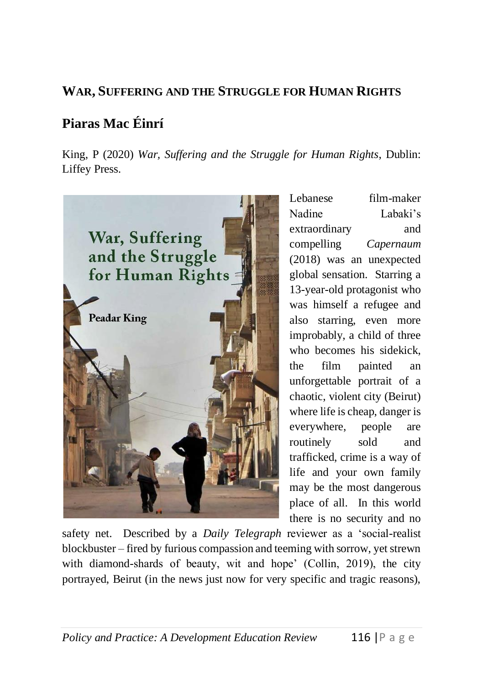## **WAR, SUFFERING AND THE STRUGGLE FOR HUMAN RIGHTS**

## **Piaras Mac Éinrí**

King, P (2020) *War, Suffering and the Struggle for Human Rights*, Dublin: Liffey Press.



Lebanese film-maker Nadine Labaki's extraordinary and compelling *Capernaum* (2018) was an unexpected global sensation. Starring a 13-year-old protagonist who was himself a refugee and also starring, even more improbably, a child of three who becomes his sidekick, the film painted an unforgettable portrait of a chaotic, violent city (Beirut) where life is cheap, danger is everywhere, people are routinely sold and trafficked, crime is a way of life and your own family may be the most dangerous place of all. In this world there is no security and no

safety net. Described by a *Daily Telegraph* reviewer as a 'social-realist blockbuster – fired by furious compassion and teeming with sorrow, yet strewn with diamond-shards of beauty, wit and hope' (Collin, 2019), the city portrayed, Beirut (in the news just now for very specific and tragic reasons),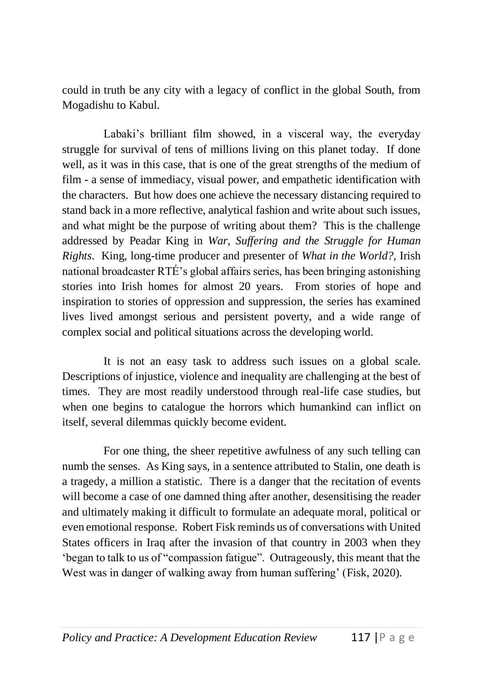could in truth be any city with a legacy of conflict in the global South, from Mogadishu to Kabul.

Labaki's brilliant film showed, in a visceral way, the everyday struggle for survival of tens of millions living on this planet today. If done well, as it was in this case, that is one of the great strengths of the medium of film - a sense of immediacy, visual power, and empathetic identification with the characters. But how does one achieve the necessary distancing required to stand back in a more reflective, analytical fashion and write about such issues, and what might be the purpose of writing about them? This is the challenge addressed by Peadar King in *War, Suffering and the Struggle for Human Rights*. King, long-time producer and presenter of *What in the World?*, Irish national broadcaster RTÉ's global affairs series, has been bringing astonishing stories into Irish homes for almost 20 years. From stories of hope and inspiration to stories of oppression and suppression, the series has examined lives lived amongst serious and persistent poverty, and a wide range of complex social and political situations across the developing world.

It is not an easy task to address such issues on a global scale. Descriptions of injustice, violence and inequality are challenging at the best of times. They are most readily understood through real-life case studies, but when one begins to catalogue the horrors which humankind can inflict on itself, several dilemmas quickly become evident.

For one thing, the sheer repetitive awfulness of any such telling can numb the senses. As King says, in a sentence attributed to Stalin, one death is a tragedy, a million a statistic. There is a danger that the recitation of events will become a case of one damned thing after another, desensitising the reader and ultimately making it difficult to formulate an adequate moral, political or even emotional response. Robert Fisk reminds us of conversations with United States officers in Iraq after the invasion of that country in 2003 when they 'began to talk to us of "compassion fatigue". Outrageously, this meant that the West was in danger of walking away from human suffering' (Fisk, 2020).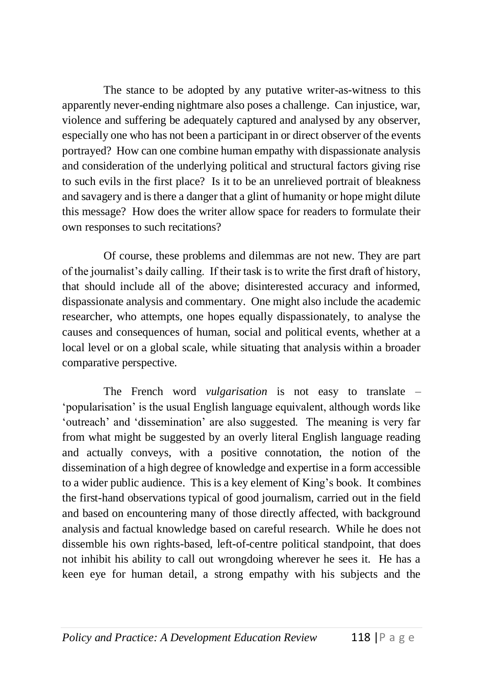The stance to be adopted by any putative writer-as-witness to this apparently never-ending nightmare also poses a challenge. Can injustice, war, violence and suffering be adequately captured and analysed by any observer, especially one who has not been a participant in or direct observer of the events portrayed? How can one combine human empathy with dispassionate analysis and consideration of the underlying political and structural factors giving rise to such evils in the first place? Is it to be an unrelieved portrait of bleakness and savagery and is there a danger that a glint of humanity or hope might dilute this message? How does the writer allow space for readers to formulate their own responses to such recitations?

Of course, these problems and dilemmas are not new. They are part of the journalist's daily calling. If their task is to write the first draft of history, that should include all of the above; disinterested accuracy and informed, dispassionate analysis and commentary. One might also include the academic researcher, who attempts, one hopes equally dispassionately, to analyse the causes and consequences of human, social and political events, whether at a local level or on a global scale, while situating that analysis within a broader comparative perspective.

The French word *vulgarisation* is not easy to translate – 'popularisation' is the usual English language equivalent, although words like 'outreach' and 'dissemination' are also suggested. The meaning is very far from what might be suggested by an overly literal English language reading and actually conveys, with a positive connotation, the notion of the dissemination of a high degree of knowledge and expertise in a form accessible to a wider public audience. This is a key element of King's book. It combines the first-hand observations typical of good journalism, carried out in the field and based on encountering many of those directly affected, with background analysis and factual knowledge based on careful research. While he does not dissemble his own rights-based, left-of-centre political standpoint, that does not inhibit his ability to call out wrongdoing wherever he sees it. He has a keen eye for human detail, a strong empathy with his subjects and the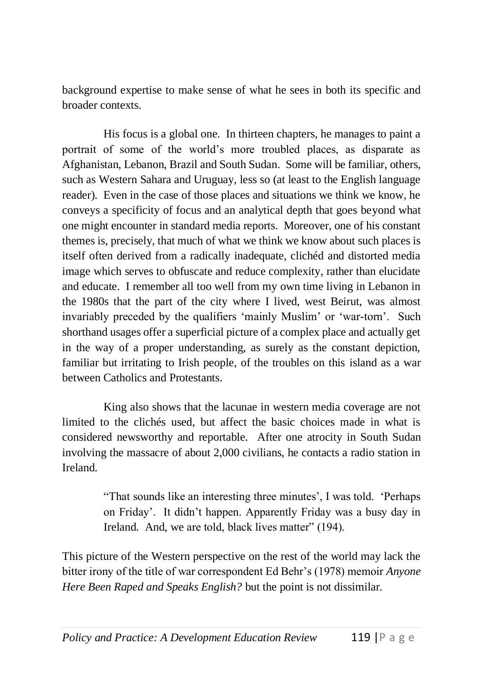background expertise to make sense of what he sees in both its specific and broader contexts.

His focus is a global one. In thirteen chapters, he manages to paint a portrait of some of the world's more troubled places, as disparate as Afghanistan, Lebanon, Brazil and South Sudan. Some will be familiar, others, such as Western Sahara and Uruguay, less so (at least to the English language reader). Even in the case of those places and situations we think we know, he conveys a specificity of focus and an analytical depth that goes beyond what one might encounter in standard media reports. Moreover, one of his constant themes is, precisely, that much of what we think we know about such places is itself often derived from a radically inadequate, clichéd and distorted media image which serves to obfuscate and reduce complexity, rather than elucidate and educate. I remember all too well from my own time living in Lebanon in the 1980s that the part of the city where I lived, west Beirut, was almost invariably preceded by the qualifiers 'mainly Muslim' or 'war-torn'. Such shorthand usages offer a superficial picture of a complex place and actually get in the way of a proper understanding, as surely as the constant depiction, familiar but irritating to Irish people, of the troubles on this island as a war between Catholics and Protestants.

King also shows that the lacunae in western media coverage are not limited to the clichés used, but affect the basic choices made in what is considered newsworthy and reportable. After one atrocity in South Sudan involving the massacre of about 2,000 civilians, he contacts a radio station in Ireland.

> "That sounds like an interesting three minutes', I was told. 'Perhaps on Friday'. It didn't happen. Apparently Friday was a busy day in Ireland. And, we are told, black lives matter" (194).

This picture of the Western perspective on the rest of the world may lack the bitter irony of the title of war correspondent Ed Behr's (1978) memoir *Anyone Here Been Raped and Speaks English?* but the point is not dissimilar.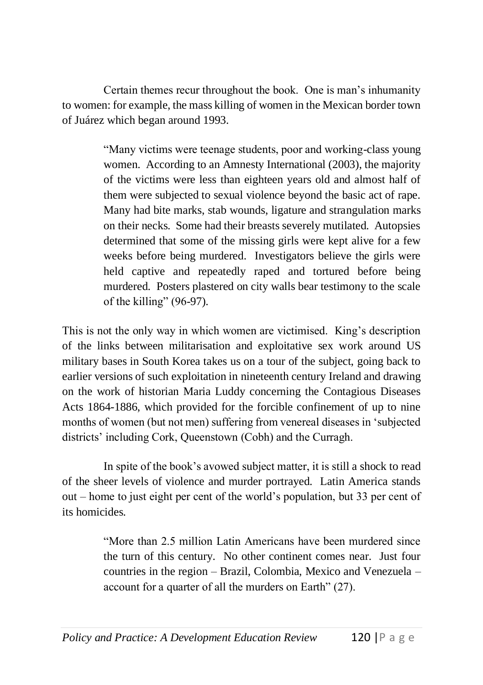Certain themes recur throughout the book. One is man's inhumanity to women: for example, the mass killing of women in the Mexican border town of Juárez which began around 1993.

> "Many victims were teenage students, poor and working-class young women. According to an Amnesty International (2003), the majority of the victims were less than eighteen years old and almost half of them were subjected to sexual violence beyond the basic act of rape. Many had bite marks, stab wounds, ligature and strangulation marks on their necks. Some had their breasts severely mutilated. Autopsies determined that some of the missing girls were kept alive for a few weeks before being murdered. Investigators believe the girls were held captive and repeatedly raped and tortured before being murdered. Posters plastered on city walls bear testimony to the scale of the killing" (96-97).

This is not the only way in which women are victimised. King's description of the links between militarisation and exploitative sex work around US military bases in South Korea takes us on a tour of the subject, going back to earlier versions of such exploitation in nineteenth century Ireland and drawing on the work of historian Maria Luddy concerning the Contagious Diseases Acts 1864-1886, which provided for the forcible confinement of up to nine months of women (but not men) suffering from venereal diseases in 'subjected districts' including Cork, Queenstown (Cobh) and the Curragh.

In spite of the book's avowed subject matter, it is still a shock to read of the sheer levels of violence and murder portrayed. Latin America stands out – home to just eight per cent of the world's population, but 33 per cent of its homicides.

> "More than 2.5 million Latin Americans have been murdered since the turn of this century. No other continent comes near. Just four countries in the region – Brazil, Colombia, Mexico and Venezuela – account for a quarter of all the murders on Earth" (27).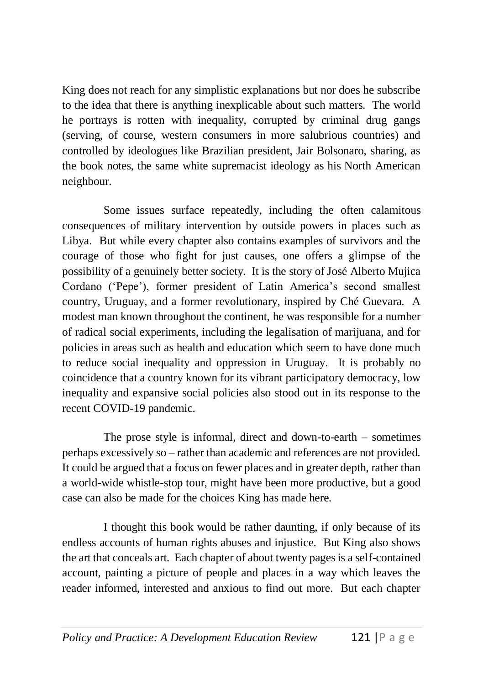King does not reach for any simplistic explanations but nor does he subscribe to the idea that there is anything inexplicable about such matters. The world he portrays is rotten with inequality, corrupted by criminal drug gangs (serving, of course, western consumers in more salubrious countries) and controlled by ideologues like Brazilian president, Jair Bolsonaro, sharing, as the book notes, the same white supremacist ideology as his North American neighbour.

Some issues surface repeatedly, including the often calamitous consequences of military intervention by outside powers in places such as Libya. But while every chapter also contains examples of survivors and the courage of those who fight for just causes, one offers a glimpse of the possibility of a genuinely better society. It is the story of José Alberto Mujica Cordano ('Pepe'), former president of Latin America's second smallest country, Uruguay, and a former revolutionary, inspired by Ché Guevara. A modest man known throughout the continent, he was responsible for a number of radical social experiments, including the legalisation of marijuana, and for policies in areas such as health and education which seem to have done much to reduce social inequality and oppression in Uruguay. It is probably no coincidence that a country known for its vibrant participatory democracy, low inequality and expansive social policies also stood out in its response to the recent COVID-19 pandemic.

The prose style is informal, direct and down-to-earth – sometimes perhaps excessively so – rather than academic and references are not provided. It could be argued that a focus on fewer places and in greater depth, rather than a world-wide whistle-stop tour, might have been more productive, but a good case can also be made for the choices King has made here.

I thought this book would be rather daunting, if only because of its endless accounts of human rights abuses and injustice. But King also shows the art that conceals art. Each chapter of about twenty pages is a self-contained account, painting a picture of people and places in a way which leaves the reader informed, interested and anxious to find out more. But each chapter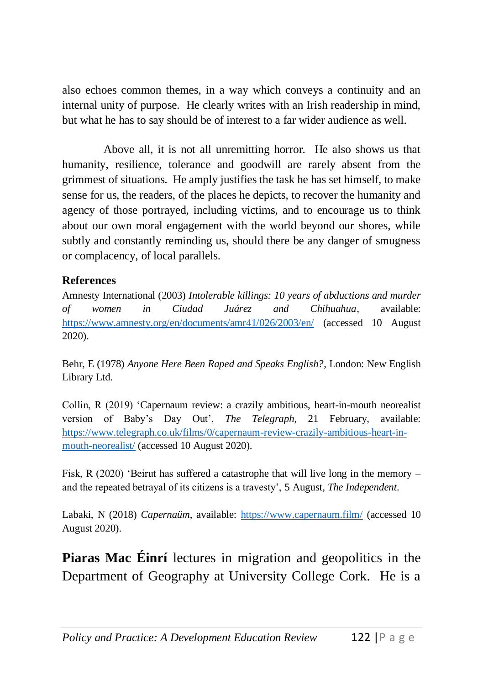also echoes common themes, in a way which conveys a continuity and an internal unity of purpose. He clearly writes with an Irish readership in mind, but what he has to say should be of interest to a far wider audience as well.

Above all, it is not all unremitting horror. He also shows us that humanity, resilience, tolerance and goodwill are rarely absent from the grimmest of situations. He amply justifies the task he has set himself, to make sense for us, the readers, of the places he depicts, to recover the humanity and agency of those portrayed, including victims, and to encourage us to think about our own moral engagement with the world beyond our shores, while subtly and constantly reminding us, should there be any danger of smugness or complacency, of local parallels.

## **References**

Amnesty International (2003) *Intolerable killings: 10 years of abductions and murder of women in Ciudad Juárez and Chihuahua*, available: <https://www.amnesty.org/en/documents/amr41/026/2003/en/> (accessed 10 August 2020).

Behr, E (1978) *Anyone Here Been Raped and Speaks English?*, London: New English Library Ltd.

Collin, R (2019) 'Capernaum review: a crazily ambitious, heart-in-mouth neorealist version of Baby's Day Out', *The Telegraph*, 21 February, available: [https://www.telegraph.co.uk/films/0/capernaum-review-crazily-ambitious-heart-in](https://www.telegraph.co.uk/films/0/capernaum-review-crazily-ambitious-heart-in-mouth-neorealist/)[mouth-neorealist/](https://www.telegraph.co.uk/films/0/capernaum-review-crazily-ambitious-heart-in-mouth-neorealist/) (accessed 10 August 2020).

Fisk, R (2020) 'Beirut has suffered a catastrophe that will live long in the memory – and the repeated betrayal of its citizens is a travesty', 5 August, *The Independent*.

Labaki, N (2018) *Capernaüm*, available:<https://www.capernaum.film/> (accessed 10 August 2020).

**Piaras Mac Éinrí** lectures in migration and geopolitics in the Department of Geography at University College Cork. He is a